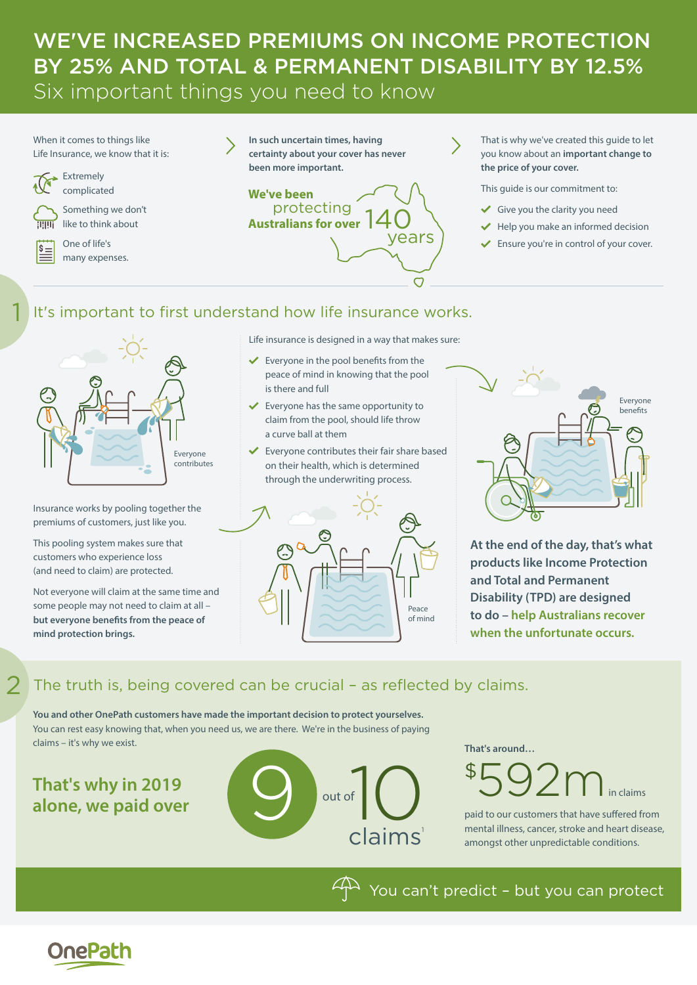# WE'VE INCREASED PREMIUMS ON INCOME PROTECTION BY 25% AND TOTAL & PERMANENT DISABILITY BY 12.5% Six important things you need to know

When it comes to things like Life Insurance, we know that it is:



Extremely complicated



1

2

Something we don't

One of life's many expenses.

like to think about





That is why we've created this guide to let you know about an **important change to the price of your cover.**

This guide is our commitment to:

- Give you the clarity you need
- $\blacktriangleright$  Help you make an informed decision
- Ensure you're in control of your cover.

# It's important to first understand how life insurance works.



Insurance works by pooling together the premiums of customers, just like you.

This pooling system makes sure that customers who experience loss (and need to claim) are protected.

Not everyone will claim at the same time and some people may not need to claim at all – **but everyone benefits from the peace of mind protection brings.** 

Life insurance is designed in a way that makes sure:

- Everyone in the pool benefits from the peace of mind in knowing that the pool is there and full
- $\checkmark$  Everyone has the same opportunity to claim from the pool, should life throw a curve ball at them
- $\checkmark$  Everyone contributes their fair share based on their health, which is determined through the underwriting process.





**At the end of the day, that's what products like Income Protection and Total and Permanent Disability (TPD) are designed to do – help Australians recover when the unfortunate occurs.**

# The truth is, being covered can be crucial – as reflected by claims.

**You and other OnePath customers have made the important decision to protect yourselves.**  You can rest easy knowing that, when you need us, we are there. We're in the business of paying claims – it's why we exist. **That's around…**

**That's why in 2019 alone, we paid over**



in claims \$ 592m

paid to our customers that have suffered from mental illness, cancer, stroke and heart disease, amongst other unpredictable conditions.

 $4\sqrt{2}$  You can't predict - but you can protect

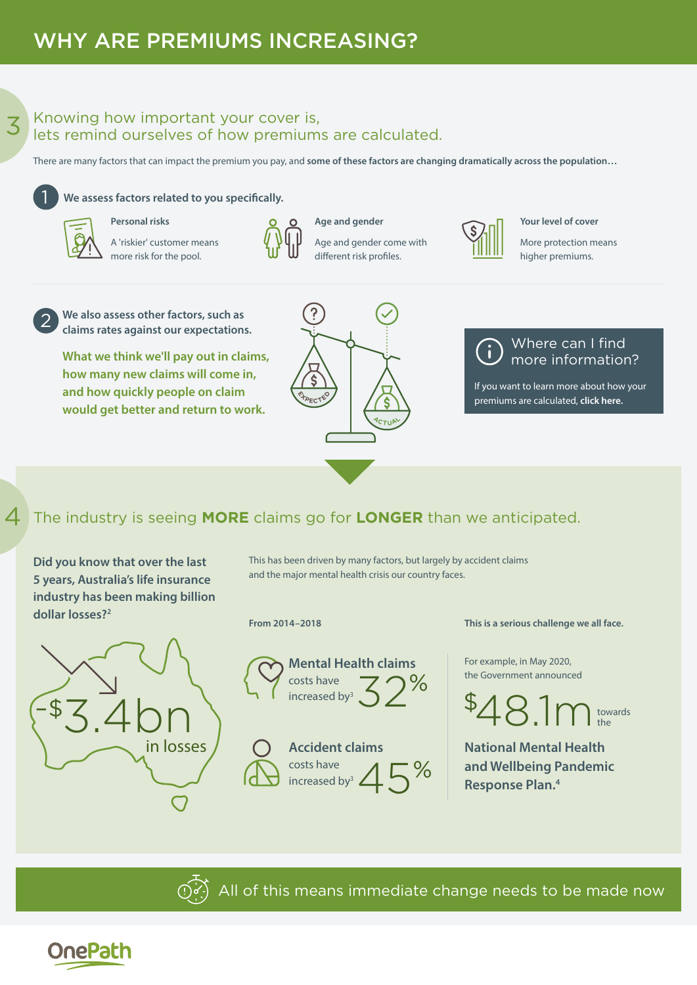3

4

### Knowing how important your cover is, lets remind ourselves of how premiums are calculated.

There are many factors that can impact the premium you pay, and **some of these factors are changing dramatically across the population…**

#### **We assess factors related to you specifically.**

**Personal risks**



1

2

A 'riskier' customer means more risk for the pool.



**Age and gender** Age and gender come with different risk profiles.



**Your level of cover**

More protection means higher premiums.

**We also assess other factors, such as claims rates against our expectations.**

**What we think we'll pay out in claims, how many new claims will come in, and how quickly people on claim would get better and return to work.**



#### Where can I find h [more information?](www.onepathclarity.com.au/category/the-price-of-your-cover)

If you want to learn more about how your premiums are calculated, **click here.**

# The industry is seeing **MORE** claims go for **LONGER** than we anticipated.

**Did you know that over the last 5 years, Australia's life insurance industry has been making billion dollar losses?2**



This has been driven by many factors, but largely by accident claims and the major mental health crisis our country faces.

#### **From 2014–2018**



**Accident claims**  costs have increased by<sup>3</sup>  $\angle$ % 45

**This is a serious challenge we all face.**

For example, in May 2020, the Government announced



**National Mental Health and Wellbeing Pandemic Response Plan.4**



All of this means immediate change needs to be made now

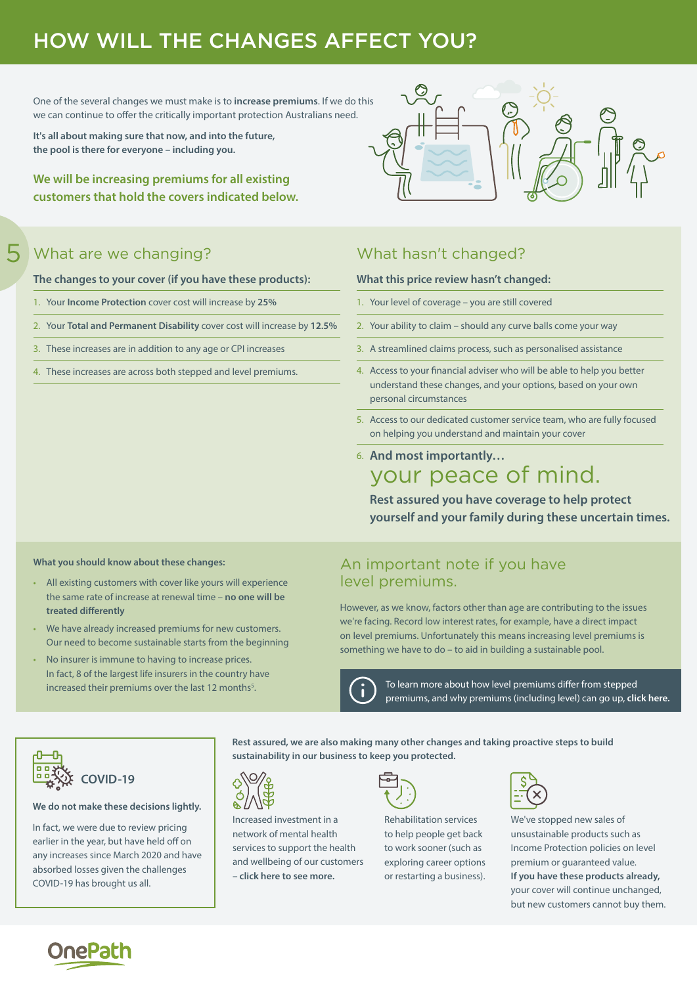# HOW WILL THE CHANGES AFFECT YOU?

One of the several changes we must make is to **increase premiums**. If we do this we can continue to offer the critically important protection Australians need.

**It's all about making sure that now, and into the future, the pool is there for everyone – including you.**

**We will be increasing premiums for all existing customers that hold the covers indicated below.**



# What are we changing? What hasn't changed?

5

**The changes to your cover (if you have these products):**

- 1. Your **Income Protection** cover cost will increase by **25%**
- 2. Your **Total and Permanent Disability** cover cost will increase by **12.5%**
- 3. These increases are in addition to any age or CPI increases
- 4. These increases are across both stepped and level premiums.

#### **What this price review hasn't changed:**

- 1. Your level of coverage you are still covered
- 2. Your ability to claim should any curve balls come your way
- 3. A streamlined claims process, such as personalised assistance
- 4. Access to your financial adviser who will be able to help you better understand these changes, and your options, based on your own personal circumstances
- 5. Access to our dedicated customer service team, who are fully focused on helping you understand and maintain your cover
- 6. **And most importantly…**  your peace of mind.

**Rest assured you have coverage to help protect yourself and your family during these uncertain times.**

#### **What you should know about these changes:**

- All existing customers with cover like yours will experience the same rate of increase at renewal time – **no one will be treated differently**
- We have already increased premiums for new customers. Our need to become sustainable starts from the beginning
- No insurer is immune to having to increase prices. In fact, 8 of the largest life insurers in the country have increased their premiums over the last 12 months<sup>5</sup>.

### An important note if you have level premiums.

However, as we know, factors other than age are contributing to the issues we're facing. Record low interest rates, for example, have a direct impact on level premiums. Unfortunately this means increasing level premiums is something we have to do – to aid in building a sustainable pool.



**sustainability in our business to keep you protected.**

[To learn more about how level premiums differ from stepped](www.onepathclarity.com.au/article/why-do-premiums-go-up)  [p](https://www.onepathclarity.com.au/article/why-do-premiums-go-up)remiums, and why premiums (including level) can go up, **click here.**



#### **We do not make these decisions lightly.**

In fact, we were due to review pricing earlier in the year, but have held off on any increases since March 2020 and have absorbed losses given the challenges COVID-19 has brought us all.



Increased investment in a network of mental health services to support the health and wellbeing of our customers **[– click here to see more.](http://www.onepath.com.au/get-more-out-of-life.aspx)**



**Rest assured, we are also making many other changes and taking proactive steps to build** 

Rehabilitation services to help people get back to work sooner (such as exploring career options or restarting a business).



We've stopped new sales of unsustainable products such as Income Protection policies on level premium or guaranteed value. **If you have these products already,**  your cover will continue unchanged, but new customers cannot buy them.